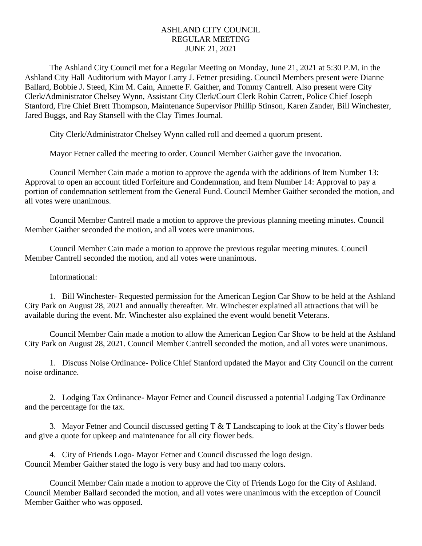## ASHLAND CITY COUNCIL REGULAR MEETING JUNE 21, 2021

The Ashland City Council met for a Regular Meeting on Monday, June 21, 2021 at 5:30 P.M. in the Ashland City Hall Auditorium with Mayor Larry J. Fetner presiding. Council Members present were Dianne Ballard, Bobbie J. Steed, Kim M. Cain, Annette F. Gaither, and Tommy Cantrell. Also present were City Clerk/Administrator Chelsey Wynn, Assistant City Clerk/Court Clerk Robin Catrett, Police Chief Joseph Stanford, Fire Chief Brett Thompson, Maintenance Supervisor Phillip Stinson, Karen Zander, Bill Winchester, Jared Buggs, and Ray Stansell with the Clay Times Journal.

City Clerk/Administrator Chelsey Wynn called roll and deemed a quorum present.

Mayor Fetner called the meeting to order. Council Member Gaither gave the invocation.

Council Member Cain made a motion to approve the agenda with the additions of Item Number 13: Approval to open an account titled Forfeiture and Condemnation, and Item Number 14: Approval to pay a portion of condemnation settlement from the General Fund. Council Member Gaither seconded the motion, and all votes were unanimous.

Council Member Cantrell made a motion to approve the previous planning meeting minutes. Council Member Gaither seconded the motion, and all votes were unanimous.

Council Member Cain made a motion to approve the previous regular meeting minutes. Council Member Cantrell seconded the motion, and all votes were unanimous.

Informational:

1. Bill Winchester- Requested permission for the American Legion Car Show to be held at the Ashland City Park on August 28, 2021 and annually thereafter. Mr. Winchester explained all attractions that will be available during the event. Mr. Winchester also explained the event would benefit Veterans.

Council Member Cain made a motion to allow the American Legion Car Show to be held at the Ashland City Park on August 28, 2021. Council Member Cantrell seconded the motion, and all votes were unanimous.

1. Discuss Noise Ordinance- Police Chief Stanford updated the Mayor and City Council on the current noise ordinance.

2. Lodging Tax Ordinance- Mayor Fetner and Council discussed a potential Lodging Tax Ordinance and the percentage for the tax.

3. Mayor Fetner and Council discussed getting T & T Landscaping to look at the City's flower beds and give a quote for upkeep and maintenance for all city flower beds.

4. City of Friends Logo- Mayor Fetner and Council discussed the logo design. Council Member Gaither stated the logo is very busy and had too many colors.

Council Member Cain made a motion to approve the City of Friends Logo for the City of Ashland. Council Member Ballard seconded the motion, and all votes were unanimous with the exception of Council Member Gaither who was opposed.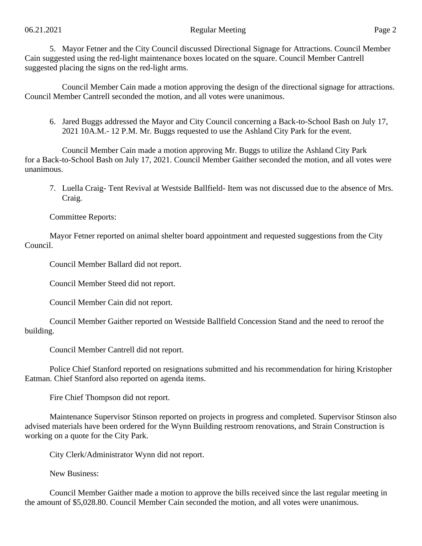## 06.21.2021 Page 2

5. Mayor Fetner and the City Council discussed Directional Signage for Attractions. Council Member Cain suggested using the red-light maintenance boxes located on the square. Council Member Cantrell suggested placing the signs on the red-light arms.

 Council Member Cain made a motion approving the design of the directional signage for attractions. Council Member Cantrell seconded the motion, and all votes were unanimous.

6. Jared Buggs addressed the Mayor and City Council concerning a Back-to-School Bash on July 17, 2021 10A.M.- 12 P.M. Mr. Buggs requested to use the Ashland City Park for the event.

Council Member Cain made a motion approving Mr. Buggs to utilize the Ashland City Park for a Back-to-School Bash on July 17, 2021. Council Member Gaither seconded the motion, and all votes were unanimous.

7. Luella Craig- Tent Revival at Westside Ballfield- Item was not discussed due to the absence of Mrs. Craig.

Committee Reports:

Mayor Fetner reported on animal shelter board appointment and requested suggestions from the City Council.

Council Member Ballard did not report.

Council Member Steed did not report.

Council Member Cain did not report.

Council Member Gaither reported on Westside Ballfield Concession Stand and the need to reroof the building.

Council Member Cantrell did not report.

Police Chief Stanford reported on resignations submitted and his recommendation for hiring Kristopher Eatman. Chief Stanford also reported on agenda items.

Fire Chief Thompson did not report.

Maintenance Supervisor Stinson reported on projects in progress and completed. Supervisor Stinson also advised materials have been ordered for the Wynn Building restroom renovations, and Strain Construction is working on a quote for the City Park.

City Clerk/Administrator Wynn did not report.

New Business:

Council Member Gaither made a motion to approve the bills received since the last regular meeting in the amount of \$5,028.80. Council Member Cain seconded the motion, and all votes were unanimous.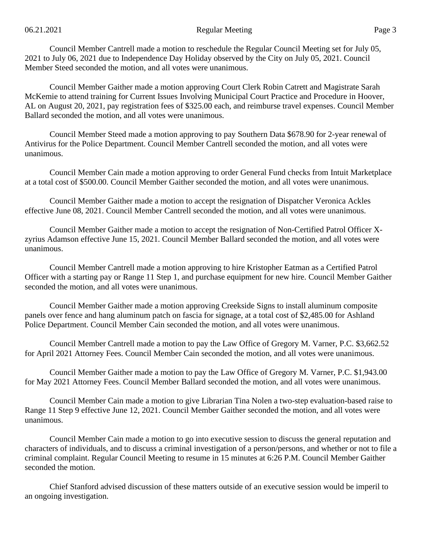Council Member Cantrell made a motion to reschedule the Regular Council Meeting set for July 05, 2021 to July 06, 2021 due to Independence Day Holiday observed by the City on July 05, 2021. Council Member Steed seconded the motion, and all votes were unanimous.

Council Member Gaither made a motion approving Court Clerk Robin Catrett and Magistrate Sarah McKemie to attend training for Current Issues Involving Municipal Court Practice and Procedure in Hoover, AL on August 20, 2021, pay registration fees of \$325.00 each, and reimburse travel expenses. Council Member Ballard seconded the motion, and all votes were unanimous.

Council Member Steed made a motion approving to pay Southern Data \$678.90 for 2-year renewal of Antivirus for the Police Department. Council Member Cantrell seconded the motion, and all votes were unanimous.

Council Member Cain made a motion approving to order General Fund checks from Intuit Marketplace at a total cost of \$500.00. Council Member Gaither seconded the motion, and all votes were unanimous.

Council Member Gaither made a motion to accept the resignation of Dispatcher Veronica Ackles effective June 08, 2021. Council Member Cantrell seconded the motion, and all votes were unanimous.

Council Member Gaither made a motion to accept the resignation of Non-Certified Patrol Officer Xzyrius Adamson effective June 15, 2021. Council Member Ballard seconded the motion, and all votes were unanimous.

Council Member Cantrell made a motion approving to hire Kristopher Eatman as a Certified Patrol Officer with a starting pay or Range 11 Step 1, and purchase equipment for new hire. Council Member Gaither seconded the motion, and all votes were unanimous.

Council Member Gaither made a motion approving Creekside Signs to install aluminum composite panels over fence and hang aluminum patch on fascia for signage, at a total cost of \$2,485.00 for Ashland Police Department. Council Member Cain seconded the motion, and all votes were unanimous.

Council Member Cantrell made a motion to pay the Law Office of Gregory M. Varner, P.C. \$3,662.52 for April 2021 Attorney Fees. Council Member Cain seconded the motion, and all votes were unanimous.

Council Member Gaither made a motion to pay the Law Office of Gregory M. Varner, P.C. \$1,943.00 for May 2021 Attorney Fees. Council Member Ballard seconded the motion, and all votes were unanimous.

Council Member Cain made a motion to give Librarian Tina Nolen a two-step evaluation-based raise to Range 11 Step 9 effective June 12, 2021. Council Member Gaither seconded the motion, and all votes were unanimous.

Council Member Cain made a motion to go into executive session to discuss the general reputation and characters of individuals, and to discuss a criminal investigation of a person/persons, and whether or not to file a criminal complaint. Regular Council Meeting to resume in 15 minutes at 6:26 P.M. Council Member Gaither seconded the motion.

Chief Stanford advised discussion of these matters outside of an executive session would be imperil to an ongoing investigation.